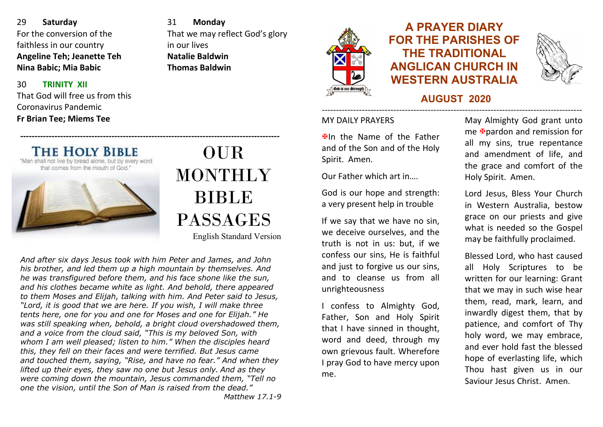29 **Saturday** For the conversion of the faithless in our country **Angeline Teh; Jeanette Teh Nina Babic; Mia Babic**

#### 30**TRINITY XII**

That God will free us from this Coronavirus Pandemic**Fr Brian Tee; Miems Tee**

31 **Monday** That we may reflect God's glory in our lives **Natalie BaldwinThomas Baldwin**



# **A PRAYER DIARY FOR THE PARISHES OF THE TRADITIONAL ANGLICAN CHURCH IN WESTERN AUSTRALIA**



#### **AUGUST 2020** -------------------------------------------------------------------------------------------

### MY DAILY PRAYERS

 $\mathbf{\mathbf{\mathsf{\Psi}}}$ In the Name of the Father and of the Son and of the Holy Spirit. Amen.

Our Father which art in….

God is our hope and strength: a very present help in trouble

If we say that we have no sin, we deceive ourselves, and the truth is not in us: but, if we confess our sins, He is faithful and just to forgive us our sins, and to cleanse us from all unrighteousness

 confess to Almighty God, Father, Son and Holy Spirit that I have sinned in thought, word and deed, through my own grievous fault. Wherefore I pray God to have mercy upon me.

May Almighty God grant unto me **X** pardon and remission for all my sins, true repentance and amendment of life, and the grace and comfort of the Holy Spirit. Amen.

Lord Jesus, Bless Your Church in Western Australia, bestow grace on our priests and give what is needed so the Gospel may be faithfully proclaimed.

Blessed Lord, who hast caused all Holy Scriptures to be written for our learning: Grant that we may in such wise hear them, read, mark, learn, and inwardly digest them, that by patience, and comfort of Thy holy word, we may embrace, and ever hold fast the blessed hope of everlasting life, which Thou hast given us in our Saviour Jesus Christ. Amen.

**THE HOLY BIBLE** that comes from the mouth of God.

# OUR **MONTHLY** BIBLE PASSAGES

English Standard Version

*And after six days Jesus took with him Peter and James, and John his brother, and led them up a high mountain by themselves. And he was transfigured before them, and his face shone like the sun, and his clothes became white as light. And behold, there appeared to them Moses and Elijah, talking with him. And Peter said to Jesus, "Lord, it is good that we are here. If you wish, I will make three tents here, one for you and one for Moses and one for Elijah." He was still speaking when, behold, a bright cloud overshadowed them, and a voice from the cloud said, "This is my beloved Son, with whom I am well pleased; listen to him." When the disciples heard this, they fell on their faces and were terrified. But Jesus came and touched them, saying, "Rise, and have no fear." And when they lifted up their eyes, they saw no one but Jesus only. And as they were coming down the mountain, Jesus commanded them, "Tell no one the vision, until the Son of Man is raised from the dead." Matthew 17.1-9* 

**‐‐‐‐‐‐‐‐‐‐‐‐‐‐‐‐‐‐‐‐‐‐‐‐‐‐‐‐‐‐‐‐‐‐‐‐‐‐‐‐‐‐‐‐‐‐‐‐‐‐‐‐‐‐‐‐‐‐‐‐‐‐‐‐‐‐‐‐‐‐‐‐‐‐‐‐‐‐‐‐‐‐‐‐‐‐‐‐‐‐‐**